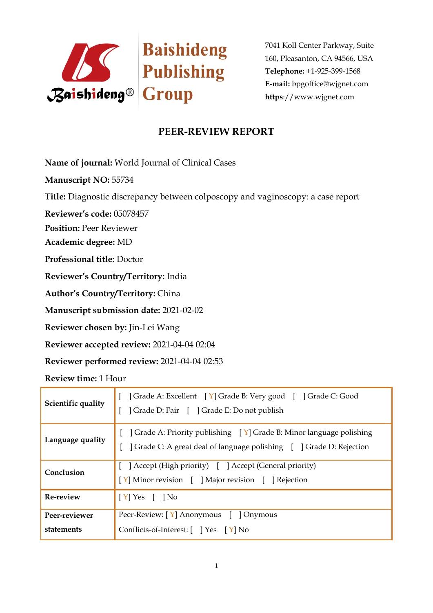

7041 Koll Center Parkway, Suite 160, Pleasanton, CA 94566, USA **Telephone:** +1-925-399-1568 **E-mail:** bpgoffice@wjgnet.com **https**://www.wjgnet.com

## **PEER-REVIEW REPORT**

**Name of journal:** World Journal of Clinical Cases

**Manuscript NO:** 55734

**Title:** Diagnostic discrepancy between colposcopy and vaginoscopy: a case report

**Reviewer's code:** 05078457

**Position:** Peer Reviewer

**Academic degree:** MD

**Professional title:** Doctor

**Reviewer's Country/Territory:** India

**Author's Country/Territory:** China

**Manuscript submission date:** 2021-02-02

**Reviewer chosen by:** Jin-Lei Wang

**Reviewer accepted review:** 2021-04-04 02:04

**Reviewer performed review:** 2021-04-04 02:53

**Review time:** 1 Hour

| Scientific quality          | [ ] Grade A: Excellent [ Y] Grade B: Very good [ ] Grade C: Good<br>] Grade D: Fair [ ] Grade E: Do not publish                                             |
|-----------------------------|-------------------------------------------------------------------------------------------------------------------------------------------------------------|
| Language quality            | [ $\vert$ Grade A: Priority publishing $\vert$ Y] Grade B: Minor language polishing<br>] Grade C: A great deal of language polishing [ ] Grade D: Rejection |
| Conclusion                  | [ ] Accept (High priority) [ ] Accept (General priority)<br>[Y] Minor revision [ ] Major revision [ ] Rejection                                             |
| Re-review                   | $\vert$ [Y] Yes [ ] No                                                                                                                                      |
| Peer-reviewer<br>statements | Peer-Review: [Y] Anonymous [ ] Onymous<br>Conflicts-of-Interest: [ ] Yes [Y] No                                                                             |